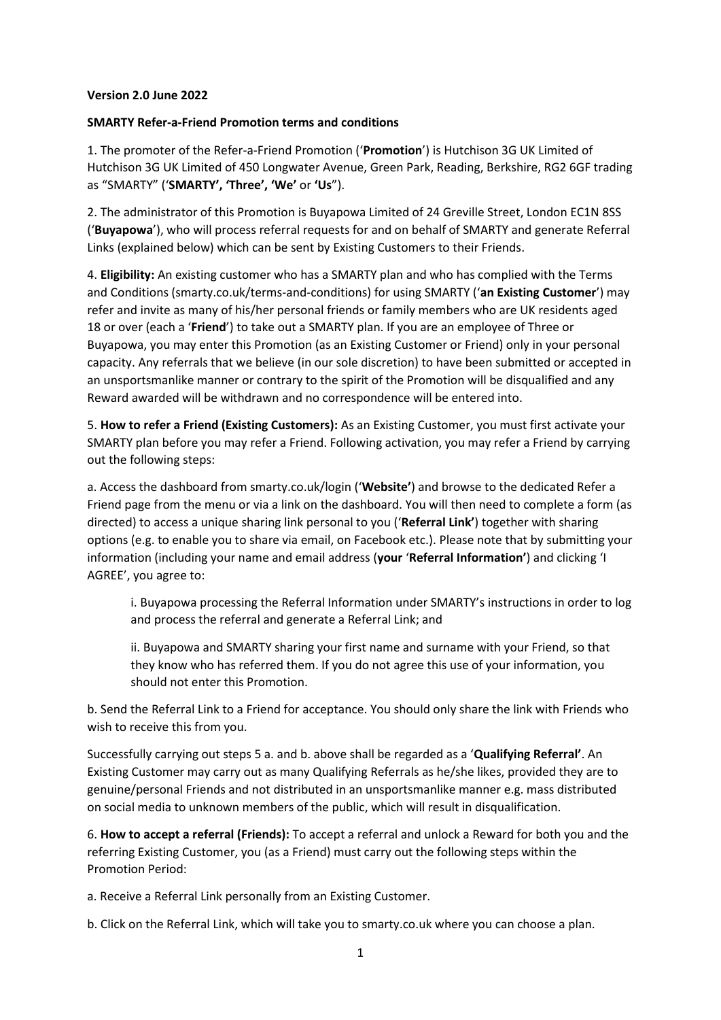## **Version 2.0 June 2022**

## **SMARTY Refer-a-Friend Promotion terms and conditions**

1. The promoter of the Refer-a-Friend Promotion ('**Promotion**') is Hutchison 3G UK Limited of Hutchison 3G UK Limited of 450 Longwater Avenue, Green Park, Reading, Berkshire, RG2 6GF trading as "SMARTY" ('**SMARTY', 'Three', 'We'** or **'Us**").

2. The administrator of this Promotion is Buyapowa Limited of 24 Greville Street, London EC1N 8SS ('**Buyapowa**'), who will process referral requests for and on behalf of SMARTY and generate Referral Links (explained below) which can be sent by Existing Customers to their Friends.

4. **Eligibility:** An existing customer who has a SMARTY plan and who has complied with the Terms and Conditions (smarty.co.uk/terms-and-conditions) for using SMARTY ('**an Existing Customer**') may refer and invite as many of his/her personal friends or family members who are UK residents aged 18 or over (each a '**Friend**') to take out a SMARTY plan. If you are an employee of Three or Buyapowa, you may enter this Promotion (as an Existing Customer or Friend) only in your personal capacity. Any referrals that we believe (in our sole discretion) to have been submitted or accepted in an unsportsmanlike manner or contrary to the spirit of the Promotion will be disqualified and any Reward awarded will be withdrawn and no correspondence will be entered into.

5. **How to refer a Friend (Existing Customers):** As an Existing Customer, you must first activate your SMARTY plan before you may refer a Friend. Following activation, you may refer a Friend by carrying out the following steps:

a. Access the dashboard from smarty.co.uk/login ('**Website'**) and browse to the dedicated Refer a Friend page from the menu or via a link on the dashboard. You will then need to complete a form (as directed) to access a unique sharing link personal to you ('**Referral Link'**) together with sharing options (e.g. to enable you to share via email, on Facebook etc.). Please note that by submitting your information (including your name and email address (**your** '**Referral Information'**) and clicking 'I AGREE', you agree to:

i. Buyapowa processing the Referral Information under SMARTY's instructions in order to log and process the referral and generate a Referral Link; and

ii. Buyapowa and SMARTY sharing your first name and surname with your Friend, so that they know who has referred them. If you do not agree this use of your information, you should not enter this Promotion.

b. Send the Referral Link to a Friend for acceptance. You should only share the link with Friends who wish to receive this from you.

Successfully carrying out steps 5 a. and b. above shall be regarded as a '**Qualifying Referral'**. An Existing Customer may carry out as many Qualifying Referrals as he/she likes, provided they are to genuine/personal Friends and not distributed in an unsportsmanlike manner e.g. mass distributed on social media to unknown members of the public, which will result in disqualification.

6. **How to accept a referral (Friends):** To accept a referral and unlock a Reward for both you and the referring Existing Customer, you (as a Friend) must carry out the following steps within the Promotion Period:

a. Receive a Referral Link personally from an Existing Customer.

b. Click on the Referral Link, which will take you to smarty.co.uk where you can choose a plan.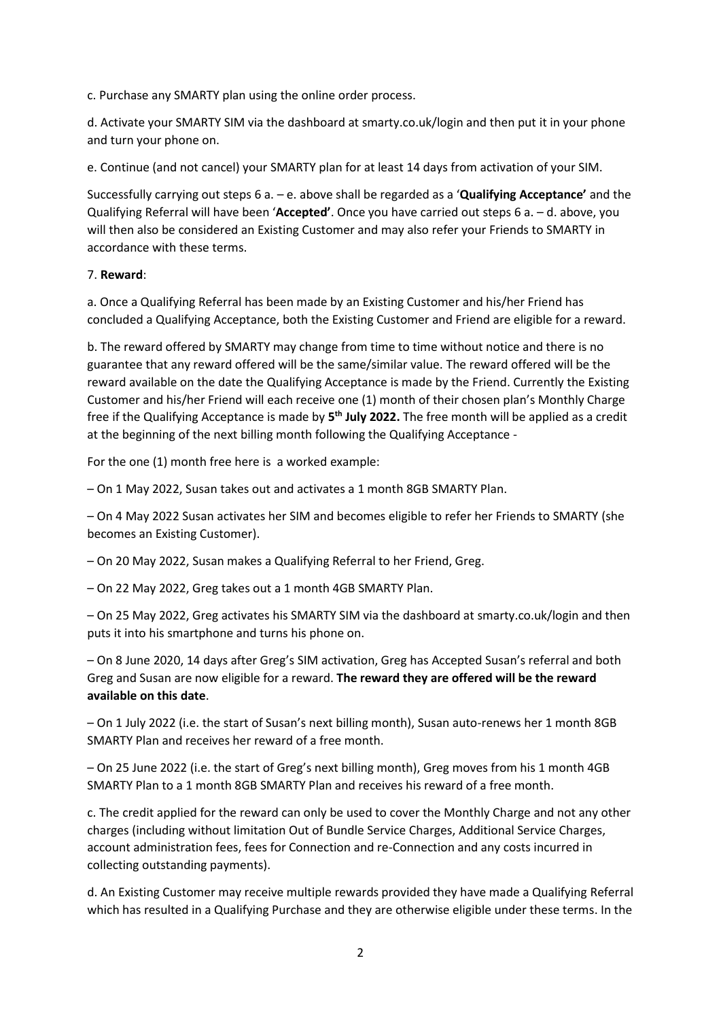c. Purchase any SMARTY plan using the online order process.

d. Activate your SMARTY SIM via the dashboard at smarty.co.uk/login and then put it in your phone and turn your phone on.

e. Continue (and not cancel) your SMARTY plan for at least 14 days from activation of your SIM.

Successfully carrying out steps 6 a. – e. above shall be regarded as a '**Qualifying Acceptance'** and the Qualifying Referral will have been '**Accepted'**. Once you have carried out steps 6 a. – d. above, you will then also be considered an Existing Customer and may also refer your Friends to SMARTY in accordance with these terms.

## 7. **Reward**:

a. Once a Qualifying Referral has been made by an Existing Customer and his/her Friend has concluded a Qualifying Acceptance, both the Existing Customer and Friend are eligible for a reward.

b. The reward offered by SMARTY may change from time to time without notice and there is no guarantee that any reward offered will be the same/similar value. The reward offered will be the reward available on the date the Qualifying Acceptance is made by the Friend. Currently the Existing Customer and his/her Friend will each receive one (1) month of their chosen plan's Monthly Charge free if the Qualifying Acceptance is made by 5<sup>th</sup> July 2022. The free month will be applied as a credit at the beginning of the next billing month following the Qualifying Acceptance -

For the one (1) month free here is a worked example:

– On 1 May 2022, Susan takes out and activates a 1 month 8GB SMARTY Plan.

– On 4 May 2022 Susan activates her SIM and becomes eligible to refer her Friends to SMARTY (she becomes an Existing Customer).

– On 20 May 2022, Susan makes a Qualifying Referral to her Friend, Greg.

– On 22 May 2022, Greg takes out a 1 month 4GB SMARTY Plan.

– On 25 May 2022, Greg activates his SMARTY SIM via the dashboard at smarty.co.uk/login and then puts it into his smartphone and turns his phone on.

– On 8 June 2020, 14 days after Greg's SIM activation, Greg has Accepted Susan's referral and both Greg and Susan are now eligible for a reward. **The reward they are offered will be the reward available on this date**.

– On 1 July 2022 (i.e. the start of Susan's next billing month), Susan auto-renews her 1 month 8GB SMARTY Plan and receives her reward of a free month.

– On 25 June 2022 (i.e. the start of Greg's next billing month), Greg moves from his 1 month 4GB SMARTY Plan to a 1 month 8GB SMARTY Plan and receives his reward of a free month.

c. The credit applied for the reward can only be used to cover the Monthly Charge and not any other charges (including without limitation Out of Bundle Service Charges, Additional Service Charges, account administration fees, fees for Connection and re-Connection and any costs incurred in collecting outstanding payments).

d. An Existing Customer may receive multiple rewards provided they have made a Qualifying Referral which has resulted in a Qualifying Purchase and they are otherwise eligible under these terms. In the